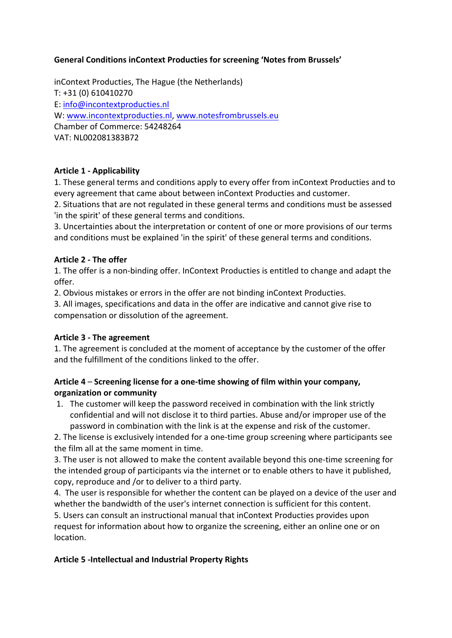### **General Conditions inContext Producties for screening 'Notes from Brussels'**

inContext Producties, The Hague (the Netherlands)  $T: +31(0) 610410270$ E: info@incontextproducties.nl W: www.incontextproducties.nl, www.notesfrombrussels.eu Chamber of Commerce: 54248264 VAT: NL002081383B72

# **Article 1 - Applicability**

1. These general terms and conditions apply to every offer from inContext Producties and to every agreement that came about between inContext Producties and customer.

2. Situations that are not regulated in these general terms and conditions must be assessed 'in the spirit' of these general terms and conditions.

3. Uncertainties about the interpretation or content of one or more provisions of our terms and conditions must be explained 'in the spirit' of these general terms and conditions.

### **Article 2 - The offer**

1. The offer is a non-binding offer. InContext Producties is entitled to change and adapt the offer. 

2. Obvious mistakes or errors in the offer are not binding inContext Producties.

3. All images, specifications and data in the offer are indicative and cannot give rise to compensation or dissolution of the agreement.

### Article 3 - The agreement

1. The agreement is concluded at the moment of acceptance by the customer of the offer and the fulfillment of the conditions linked to the offer.

# Article 4 – Screening license for a one-time showing of film within your company, **organization or community**

1. The customer will keep the password received in combination with the link strictly confidential and will not disclose it to third parties. Abuse and/or improper use of the password in combination with the link is at the expense and risk of the customer.

2. The license is exclusively intended for a one-time group screening where participants see the film all at the same moment in time.

3. The user is not allowed to make the content available beyond this one-time screening for the intended group of participants via the internet or to enable others to have it published, copy, reproduce and /or to deliver to a third party.

4. The user is responsible for whether the content can be played on a device of the user and whether the bandwidth of the user's internet connection is sufficient for this content. 5. Users can consult an instructional manual that inContext Producties provides upon request for information about how to organize the screening, either an online one or on location.

# **Article 5 -Intellectual and Industrial Property Rights**